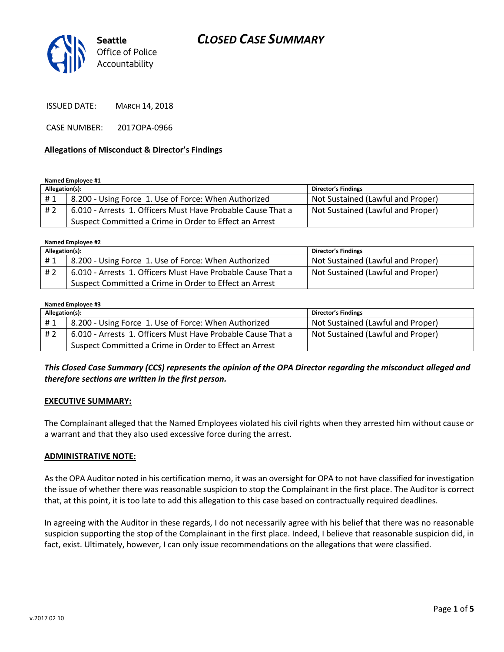# *CLOSED CASE SUMMARY*



ISSUED DATE: MARCH 14, 2018

CASE NUMBER: 2017OPA-0966

#### **Allegations of Misconduct & Director's Findings**

#### **Named Employee #1**

| Allegation(s): |                                                             | <b>Director's Findings</b>        |
|----------------|-------------------------------------------------------------|-----------------------------------|
| #1             | 8.200 - Using Force 1. Use of Force: When Authorized        | Not Sustained (Lawful and Proper) |
| #2             | 6.010 - Arrests 1. Officers Must Have Probable Cause That a | Not Sustained (Lawful and Proper) |
|                | Suspect Committed a Crime in Order to Effect an Arrest      |                                   |

**Named Employee #2**

| Allegation(s): |                                                             | Director's Findings               |
|----------------|-------------------------------------------------------------|-----------------------------------|
| #1             | 8.200 - Using Force 1. Use of Force: When Authorized        | Not Sustained (Lawful and Proper) |
| # 2            | 6.010 - Arrests 1. Officers Must Have Probable Cause That a | Not Sustained (Lawful and Proper) |
|                | Suspect Committed a Crime in Order to Effect an Arrest      |                                   |

#### **Named Employee #3**

| Allegation(s): |                                                             | <b>Director's Findings</b>        |
|----------------|-------------------------------------------------------------|-----------------------------------|
| #1             | 8.200 - Using Force 1. Use of Force: When Authorized        | Not Sustained (Lawful and Proper) |
| # 2            | 6.010 - Arrests 1. Officers Must Have Probable Cause That a | Not Sustained (Lawful and Proper) |
|                | Suspect Committed a Crime in Order to Effect an Arrest      |                                   |

#### *This Closed Case Summary (CCS) represents the opinion of the OPA Director regarding the misconduct alleged and therefore sections are written in the first person.*

#### **EXECUTIVE SUMMARY:**

The Complainant alleged that the Named Employees violated his civil rights when they arrested him without cause or a warrant and that they also used excessive force during the arrest.

#### **ADMINISTRATIVE NOTE:**

As the OPA Auditor noted in his certification memo, it was an oversight for OPA to not have classified for investigation the issue of whether there was reasonable suspicion to stop the Complainant in the first place. The Auditor is correct that, at this point, it is too late to add this allegation to this case based on contractually required deadlines.

In agreeing with the Auditor in these regards, I do not necessarily agree with his belief that there was no reasonable suspicion supporting the stop of the Complainant in the first place. Indeed, I believe that reasonable suspicion did, in fact, exist. Ultimately, however, I can only issue recommendations on the allegations that were classified.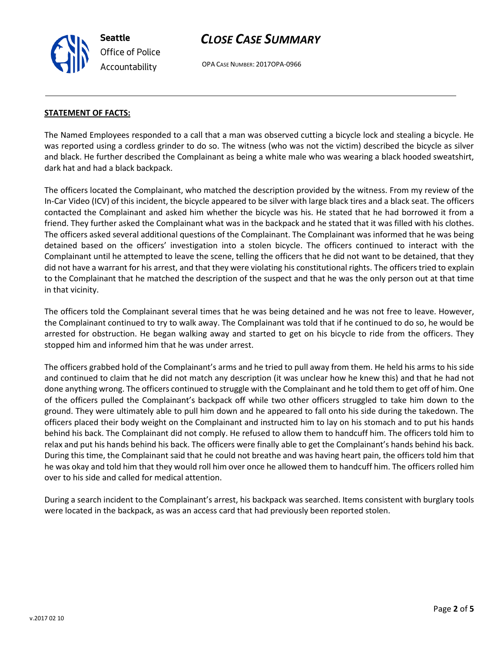**Seattle** *Office of Police Accountability*

# *CLOSE CASE SUMMARY*

OPA CASE NUMBER: 2017OPA-0966

#### **STATEMENT OF FACTS:**

The Named Employees responded to a call that a man was observed cutting a bicycle lock and stealing a bicycle. He was reported using a cordless grinder to do so. The witness (who was not the victim) described the bicycle as silver and black. He further described the Complainant as being a white male who was wearing a black hooded sweatshirt, dark hat and had a black backpack.

The officers located the Complainant, who matched the description provided by the witness. From my review of the In-Car Video (ICV) of this incident, the bicycle appeared to be silver with large black tires and a black seat. The officers contacted the Complainant and asked him whether the bicycle was his. He stated that he had borrowed it from a friend. They further asked the Complainant what was in the backpack and he stated that it was filled with his clothes. The officers asked several additional questions of the Complainant. The Complainant was informed that he was being detained based on the officers' investigation into a stolen bicycle. The officers continued to interact with the Complainant until he attempted to leave the scene, telling the officers that he did not want to be detained, that they did not have a warrant for his arrest, and that they were violating his constitutional rights. The officers tried to explain to the Complainant that he matched the description of the suspect and that he was the only person out at that time in that vicinity.

The officers told the Complainant several times that he was being detained and he was not free to leave. However, the Complainant continued to try to walk away. The Complainant was told that if he continued to do so, he would be arrested for obstruction. He began walking away and started to get on his bicycle to ride from the officers. They stopped him and informed him that he was under arrest.

The officers grabbed hold of the Complainant's arms and he tried to pull away from them. He held his arms to his side and continued to claim that he did not match any description (it was unclear how he knew this) and that he had not done anything wrong. The officers continued to struggle with the Complainant and he told them to get off of him. One of the officers pulled the Complainant's backpack off while two other officers struggled to take him down to the ground. They were ultimately able to pull him down and he appeared to fall onto his side during the takedown. The officers placed their body weight on the Complainant and instructed him to lay on his stomach and to put his hands behind his back. The Complainant did not comply. He refused to allow them to handcuff him. The officers told him to relax and put his hands behind his back. The officers were finally able to get the Complainant's hands behind his back. During this time, the Complainant said that he could not breathe and was having heart pain, the officers told him that he was okay and told him that they would roll him over once he allowed them to handcuff him. The officers rolled him over to his side and called for medical attention.

During a search incident to the Complainant's arrest, his backpack was searched. Items consistent with burglary tools were located in the backpack, as was an access card that had previously been reported stolen.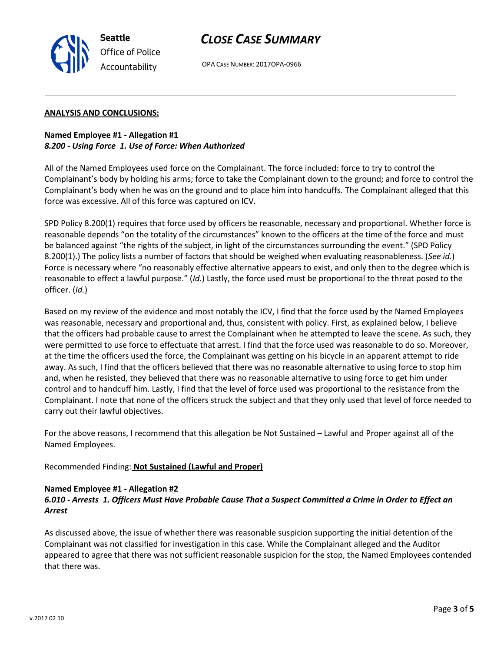# *CLOSE CASE SUMMARY*



OPA CASE NUMBER: 2017OPA-0966

#### **ANALYSIS AND CONCLUSIONS:**

## **Named Employee #1 - Allegation #1** *8.200 - Using Force 1. Use of Force: When Authorized*

All of the Named Employees used force on the Complainant. The force included: force to try to control the Complainant's body by holding his arms; force to take the Complainant down to the ground; and force to control the Complainant's body when he was on the ground and to place him into handcuffs. The Complainant alleged that this force was excessive. All of this force was captured on ICV.

SPD Policy 8.200(1) requires that force used by officers be reasonable, necessary and proportional. Whether force is reasonable depends "on the totality of the circumstances" known to the officers at the time of the force and must be balanced against "the rights of the subject, in light of the circumstances surrounding the event." (SPD Policy 8.200(1).) The policy lists a number of factors that should be weighed when evaluating reasonableness. (*See id.*) Force is necessary where "no reasonably effective alternative appears to exist, and only then to the degree which is reasonable to effect a lawful purpose." (*Id.*) Lastly, the force used must be proportional to the threat posed to the officer. (*Id.*)

Based on my review of the evidence and most notably the ICV, I find that the force used by the Named Employees was reasonable, necessary and proportional and, thus, consistent with policy. First, as explained below, I believe that the officers had probable cause to arrest the Complainant when he attempted to leave the scene. As such, they were permitted to use force to effectuate that arrest. I find that the force used was reasonable to do so. Moreover, at the time the officers used the force, the Complainant was getting on his bicycle in an apparent attempt to ride away. As such, I find that the officers believed that there was no reasonable alternative to using force to stop him and, when he resisted, they believed that there was no reasonable alternative to using force to get him under control and to handcuff him. Lastly, I find that the level of force used was proportional to the resistance from the Complainant. I note that none of the officers struck the subject and that they only used that level of force needed to carry out their lawful objectives.

For the above reasons, I recommend that this allegation be Not Sustained – Lawful and Proper against all of the Named Employees.

## Recommended Finding: **Not Sustained (Lawful and Proper)**

## **Named Employee #1 - Allegation #2**

## *6.010 - Arrests 1. Officers Must Have Probable Cause That a Suspect Committed a Crime in Order to Effect an Arrest*

As discussed above, the issue of whether there was reasonable suspicion supporting the initial detention of the Complainant was not classified for investigation in this case. While the Complainant alleged and the Auditor appeared to agree that there was not sufficient reasonable suspicion for the stop, the Named Employees contended that there was.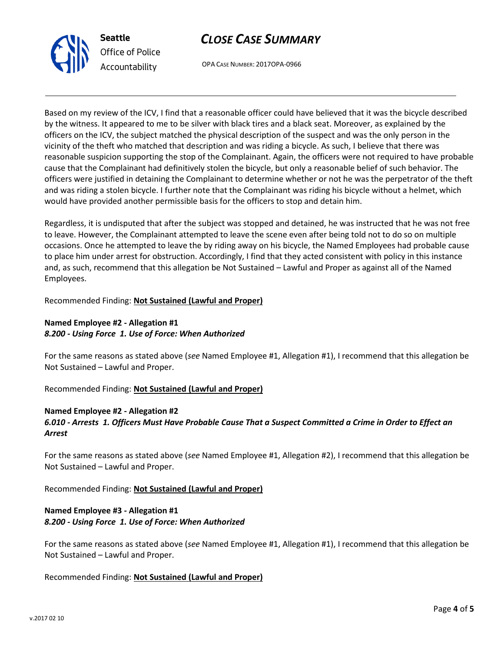



OPA CASE NUMBER: 2017OPA-0966

Based on my review of the ICV, I find that a reasonable officer could have believed that it was the bicycle described by the witness. It appeared to me to be silver with black tires and a black seat. Moreover, as explained by the officers on the ICV, the subject matched the physical description of the suspect and was the only person in the vicinity of the theft who matched that description and was riding a bicycle. As such, I believe that there was reasonable suspicion supporting the stop of the Complainant. Again, the officers were not required to have probable cause that the Complainant had definitively stolen the bicycle, but only a reasonable belief of such behavior. The officers were justified in detaining the Complainant to determine whether or not he was the perpetrator of the theft and was riding a stolen bicycle. I further note that the Complainant was riding his bicycle without a helmet, which would have provided another permissible basis for the officers to stop and detain him.

Regardless, it is undisputed that after the subject was stopped and detained, he was instructed that he was not free to leave. However, the Complainant attempted to leave the scene even after being told not to do so on multiple occasions. Once he attempted to leave the by riding away on his bicycle, the Named Employees had probable cause to place him under arrest for obstruction. Accordingly, I find that they acted consistent with policy in this instance and, as such, recommend that this allegation be Not Sustained – Lawful and Proper as against all of the Named Employees.

Recommended Finding: **Not Sustained (Lawful and Proper)**

## **Named Employee #2 - Allegation #1** *8.200 - Using Force 1. Use of Force: When Authorized*

For the same reasons as stated above (*see* Named Employee #1, Allegation #1), I recommend that this allegation be Not Sustained – Lawful and Proper.

Recommended Finding: **Not Sustained (Lawful and Proper)**

#### **Named Employee #2 - Allegation #2**

## *6.010 - Arrests 1. Officers Must Have Probable Cause That a Suspect Committed a Crime in Order to Effect an Arrest*

For the same reasons as stated above (*see* Named Employee #1, Allegation #2), I recommend that this allegation be Not Sustained – Lawful and Proper.

Recommended Finding: **Not Sustained (Lawful and Proper)**

## **Named Employee #3 - Allegation #1** *8.200 - Using Force 1. Use of Force: When Authorized*

For the same reasons as stated above (*see* Named Employee #1, Allegation #1), I recommend that this allegation be Not Sustained – Lawful and Proper.

## Recommended Finding: **Not Sustained (Lawful and Proper)**